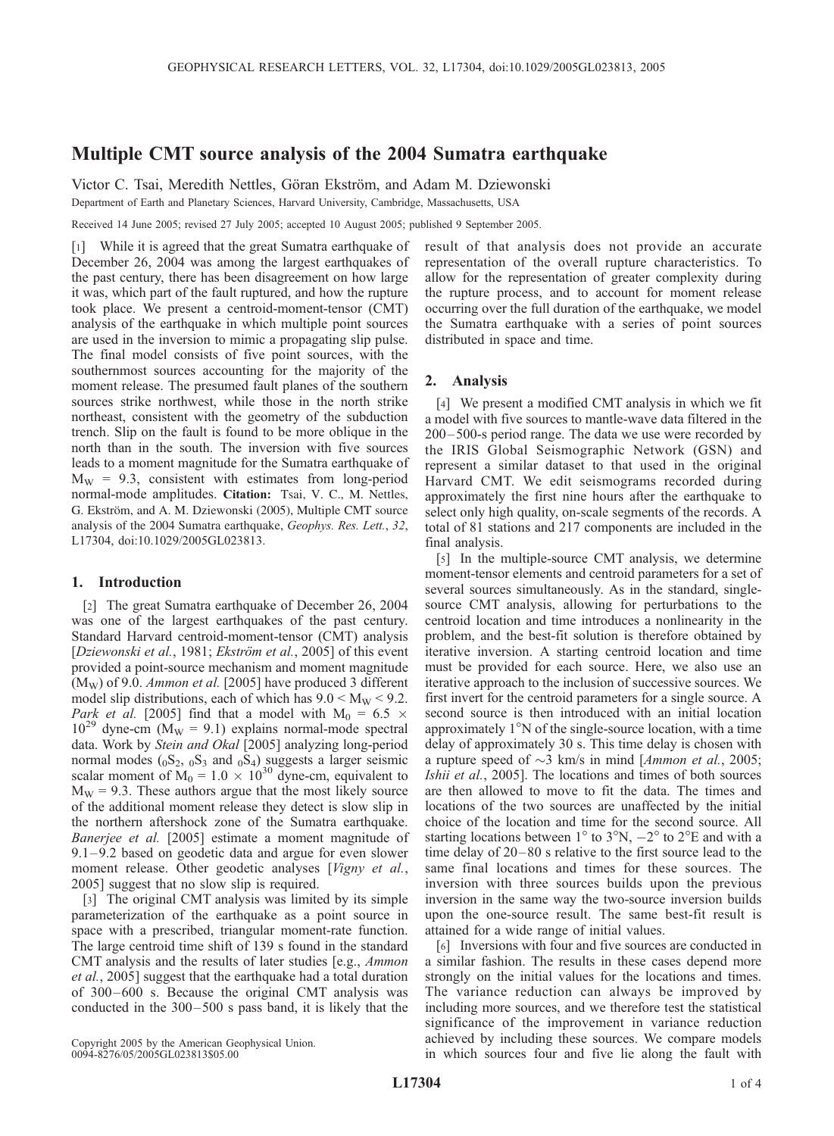# Multiple CMT source analysis of the 2004 Sumatra earthquake

Victor C. Tsai, Meredith Nettles, Göran Ekström, and Adam M. Dziewonski

Department of Earth and Planetary Sciences, Harvard University, Cambridge, Massachusetts, USA

Received 14 June 2005; revised 27 July 2005; accepted 10 August 2005; published 9 September 2005.

[1] While it is agreed that the great Sumatra earthquake of December 26, 2004 was among the largest earthquakes of the past century, there has been disagreement on how large it was, which part of the fault ruptured, and how the rupture took place. We present a centroid-moment-tensor (CMT) analysis of the earthquake in which multiple point sources are used in the inversion to mimic a propagating slip pulse. The final model consists of five point sources, with the southernmost sources accounting for the majority of the moment release. The presumed fault planes of the southern sources strike northwest, while those in the north strike northeast, consistent with the geometry of the subduction trench. Slip on the fault is found to be more oblique in the north than in the south. The inversion with five sources leads to a moment magnitude for the Sumatra earthquake of  $M_W = 9.3$ , consistent with estimates from long-period normal-mode amplitudes. Citation: Tsai, V. C., M. Nettles, G. Ekström, and A. M. Dziewonski (2005), Multiple CMT source analysis of the 2004 Sumatra earthquake, Geophys. Res. Lett., 32, L17304, doi:10.1029/2005GL023813.

## 1. Introduction

[2] The great Sumatra earthquake of December 26, 2004 was one of the largest earthquakes of the past century. Standard Harvard centroid-moment-tensor (CMT) analysis [Dziewonski et al., 1981; Ekström et al., 2005] of this event provided a point-source mechanism and moment magnitude  $(M_W)$  of 9.0. *Ammon et al.* [2005] have produced 3 different model slip distributions, each of which has  $9.0 \le M_{\rm W} \le 9.2$ . Park et al. [2005] find that a model with  $M_0 = 6.5 \times$  $10^{29}$  dyne-cm (M<sub>W</sub> = 9.1) explains normal-mode spectral data. Work by Stein and Okal [2005] analyzing long-period normal modes  $(0S_2, 0S_3, S_4)$  suggests a larger seismic scalar moment of  $M_0 = 1.0 \times 10^{30}$  dyne-cm, equivalent to  $M_W = 9.3$ . These authors argue that the most likely source of the additional moment release they detect is slow slip in the northern aftershock zone of the Sumatra earthquake. Banerjee et al. [2005] estimate a moment magnitude of 9.1–9.2 based on geodetic data and argue for even slower moment release. Other geodetic analyses [Vigny et al., 2005] suggest that no slow slip is required.

[3] The original CMT analysis was limited by its simple parameterization of the earthquake as a point source in space with a prescribed, triangular moment-rate function. The large centroid time shift of 139 s found in the standard CMT analysis and the results of later studies [e.g., Ammon et al., 2005] suggest that the earthquake had a total duration of 300–600 s. Because the original CMT analysis was conducted in the  $300 - 500$  s pass band, it is likely that the

Copyright 2005 by the American Geophysical Union. 0094-8276/05/2005GL023813\$05.00

result of that analysis does not provide an accurate representation of the overall rupture characteristics. To allow for the representation of greater complexity during the rupture process, and to account for moment release occurring over the full duration of the earthquake, we model the Sumatra earthquake with a series of point sources distributed in space and time.

### 2. Analysis

[4] We present a modified CMT analysis in which we fit a model with five sources to mantle-wave data filtered in the 200– 500-s period range. The data we use were recorded by the IRIS Global Seismographic Network (GSN) and represent a similar dataset to that used in the original Harvard CMT. We edit seismograms recorded during approximately the first nine hours after the earthquake to select only high quality, on-scale segments of the records. A total of 81 stations and 217 components are included in the final analysis.

[5] In the multiple-source CMT analysis, we determine moment-tensor elements and centroid parameters for a set of several sources simultaneously. As in the standard, singlesource CMT analysis, allowing for perturbations to the centroid location and time introduces a nonlinearity in the problem, and the best-fit solution is therefore obtained by iterative inversion. A starting centroid location and time must be provided for each source. Here, we also use an iterative approach to the inclusion of successive sources. We first invert for the centroid parameters for a single source. A second source is then introduced with an initial location approximately  $1^{\circ}$ N of the single-source location, with a time delay of approximately 30 s. This time delay is chosen with a rupture speed of  $\sim$ 3 km/s in mind [Ammon et al., 2005; Ishii et al., 2005]. The locations and times of both sources are then allowed to move to fit the data. The times and locations of the two sources are unaffected by the initial choice of the location and time for the second source. All starting locations between  $1^{\circ}$  to  $3^{\circ}N$ ,  $-2^{\circ}$  to  $2^{\circ}E$  and with a time delay of 20– 80 s relative to the first source lead to the same final locations and times for these sources. The inversion with three sources builds upon the previous inversion in the same way the two-source inversion builds upon the one-source result. The same best-fit result is attained for a wide range of initial values.

[6] Inversions with four and five sources are conducted in a similar fashion. The results in these cases depend more strongly on the initial values for the locations and times. The variance reduction can always be improved by including more sources, and we therefore test the statistical significance of the improvement in variance reduction achieved by including these sources. We compare models in which sources four and five lie along the fault with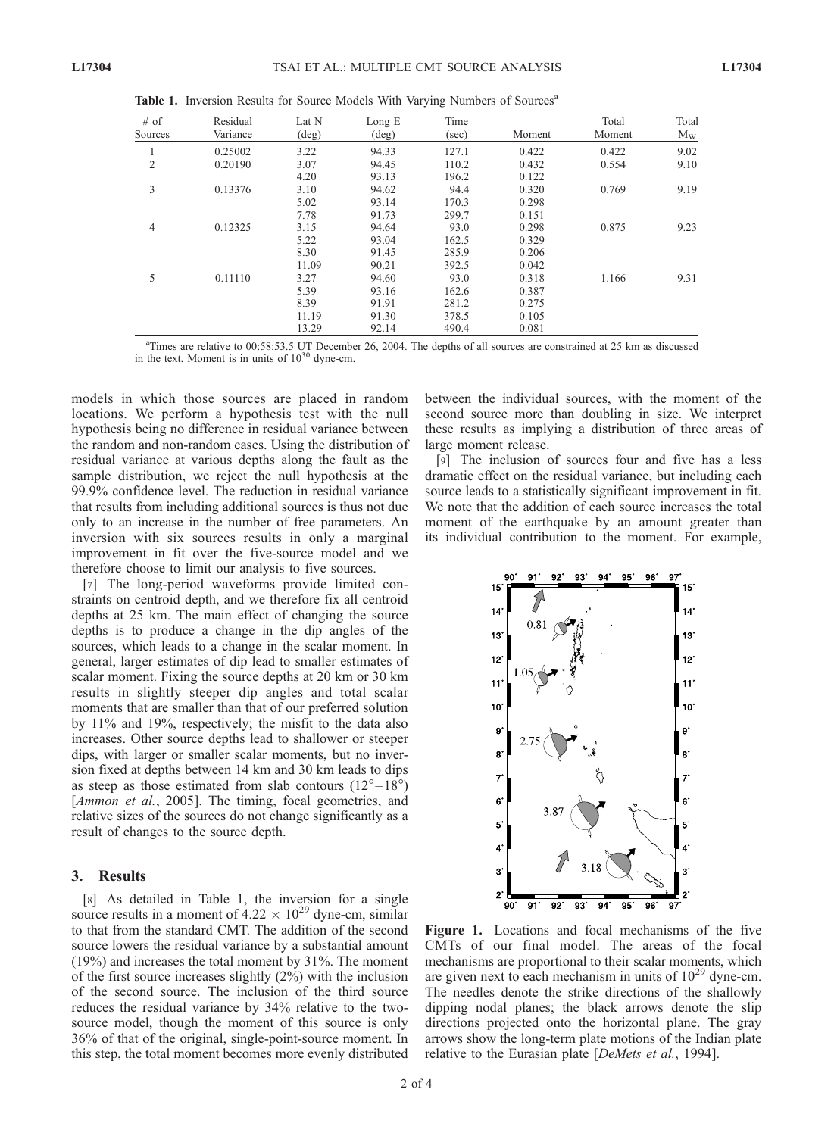Total  $M_W$ 

| $#$ of<br>Sources | Residual<br>Variance | Lat N<br>$(\text{deg})$ | Long $E$<br>$(\text{deg})$ | Time<br>(sec) | Moment | Total<br>Moment | Total<br>$M_W$ |
|-------------------|----------------------|-------------------------|----------------------------|---------------|--------|-----------------|----------------|
|                   | 0.25002              | 3.22                    | 94.33                      | 127.1         | 0.422  | 0.422           | 9.02           |
| 2                 | 0.20190              | 3.07                    | 94.45                      | 110.2         | 0.432  | 0.554           | 9.10           |
|                   |                      | 4.20                    | 93.13                      | 196.2         | 0.122  |                 |                |
| 3                 | 0.13376              | 3.10                    | 94.62                      | 94.4          | 0.320  | 0.769           | 9.19           |
|                   |                      | 5.02                    | 93.14                      | 170.3         | 0.298  |                 |                |
|                   |                      | 7.78                    | 91.73                      | 299.7         | 0.151  |                 |                |
| $\overline{4}$    | 0.12325              | 3.15                    | 94.64                      | 93.0          | 0.298  | 0.875           | 9.23           |
|                   |                      | 5.22                    | 93.04                      | 162.5         | 0.329  |                 |                |
|                   |                      | 8.30                    | 91.45                      | 285.9         | 0.206  |                 |                |
|                   |                      | 11.09                   | 90.21                      | 392.5         | 0.042  |                 |                |
| 5                 | 0.11110              | 3.27                    | 94.60                      | 93.0          | 0.318  | 1.166           | 9.31           |

Table 1. Inversion Results for Source Models With Varying Numbers of Sources<sup>a</sup>

<sup>a</sup>Times are relative to 00:58:53.5 UT December 26, 2004. The depths of all sources are constrained at 25 km as discussed in the text. Moment is in units of  $10^{30}$  dyne-cm.

5.39 93.16 162.6 0.387 8.39 91.91 281.2 0.275 11.19 91.30 378.5 0.105 13.29 92.14 490.4 0.081

models in which those sources are placed in random locations. We perform a hypothesis test with the null hypothesis being no difference in residual variance between the random and non-random cases. Using the distribution of residual variance at various depths along the fault as the sample distribution, we reject the null hypothesis at the 99.9% confidence level. The reduction in residual variance that results from including additional sources is thus not due only to an increase in the number of free parameters. An inversion with six sources results in only a marginal improvement in fit over the five-source model and we therefore choose to limit our analysis to five sources.

[7] The long-period waveforms provide limited constraints on centroid depth, and we therefore fix all centroid depths at 25 km. The main effect of changing the source depths is to produce a change in the dip angles of the sources, which leads to a change in the scalar moment. In general, larger estimates of dip lead to smaller estimates of scalar moment. Fixing the source depths at 20 km or 30 km results in slightly steeper dip angles and total scalar moments that are smaller than that of our preferred solution by 11% and 19%, respectively; the misfit to the data also increases. Other source depths lead to shallower or steeper dips, with larger or smaller scalar moments, but no inversion fixed at depths between 14 km and 30 km leads to dips as steep as those estimated from slab contours  $(12^{\circ} - 18^{\circ})$ [*Ammon et al.*, 2005]. The timing, focal geometries, and relative sizes of the sources do not change significantly as a result of changes to the source depth.

#### 3. Results

[8] As detailed in Table 1, the inversion for a single source results in a moment of  $4.22 \times 10^{29}$  dyne-cm, similar to that from the standard CMT. The addition of the second source lowers the residual variance by a substantial amount (19%) and increases the total moment by 31%. The moment of the first source increases slightly (2%) with the inclusion of the second source. The inclusion of the third source reduces the residual variance by 34% relative to the twosource model, though the moment of this source is only 36% of that of the original, single-point-source moment. In this step, the total moment becomes more evenly distributed between the individual sources, with the moment of the second source more than doubling in size. We interpret these results as implying a distribution of three areas of large moment release.

[9] The inclusion of sources four and five has a less dramatic effect on the residual variance, but including each source leads to a statistically significant improvement in fit. We note that the addition of each source increases the total moment of the earthquake by an amount greater than its individual contribution to the moment. For example,



Figure 1. Locations and focal mechanisms of the five CMTs of our final model. The areas of the focal mechanisms are proportional to their scalar moments, which are given next to each mechanism in units of  $10^{29}$  dyne-cm. The needles denote the strike directions of the shallowly dipping nodal planes; the black arrows denote the slip directions projected onto the horizontal plane. The gray arrows show the long-term plate motions of the Indian plate relative to the Eurasian plate [DeMets et al., 1994].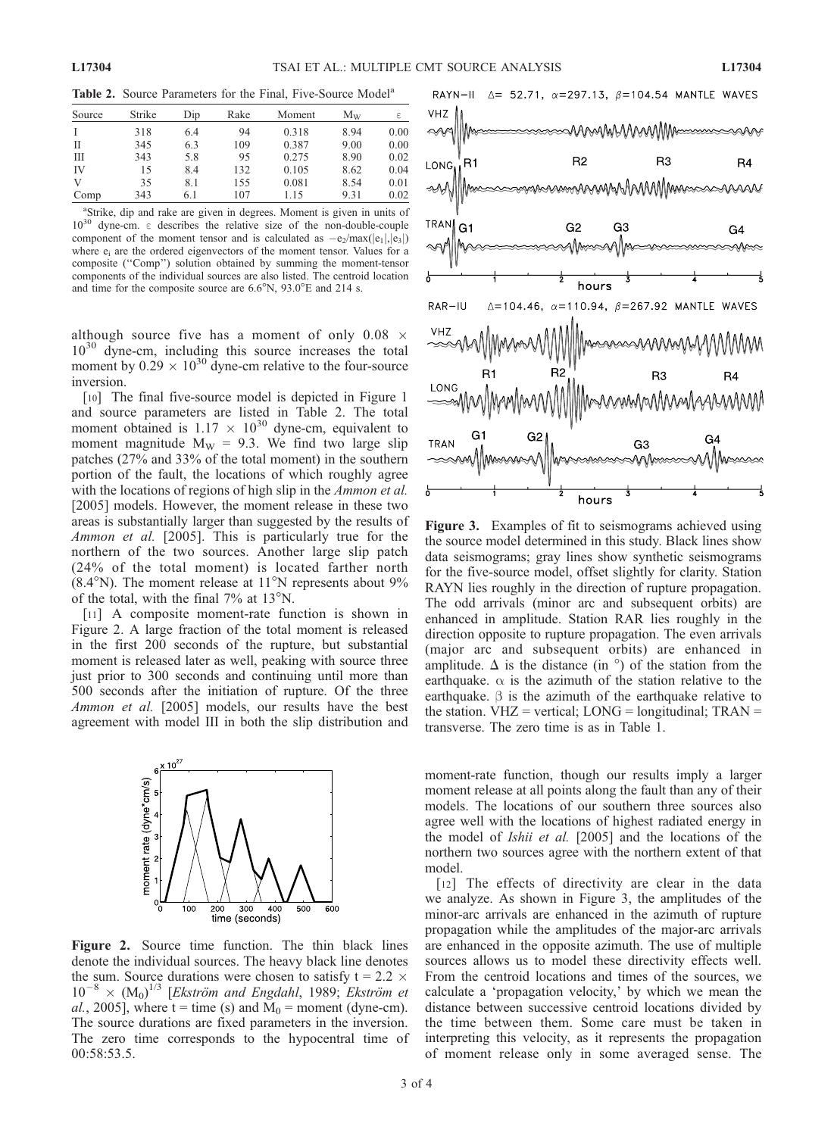Table 2. Source Parameters for the Final, Five-Source Model<sup>a</sup>

| Source | Strike | Dip | Rake | Moment | $M_{\rm W}$ | ε    |
|--------|--------|-----|------|--------|-------------|------|
|        | 318    | 6.4 | 94   | 0.318  | 8.94        | 0.00 |
| П      | 345    | 6.3 | 109  | 0.387  | 9.00        | 0.00 |
| Ш      | 343    | 5.8 | 95   | 0.275  | 8.90        | 0.02 |
| IV     | 15     | 8.4 | 132  | 0.105  | 8.62        | 0.04 |
| V      | 35     | 8.1 | 155  | 0.081  | 8.54        | 0.01 |
| Comp   | 343    | 6.1 | 107  | 1.15   | 9.31        | 0.02 |

<sup>a</sup>Strike, dip and rake are given in degrees. Moment is given in units of  $10^{30}$  dyne-cm.  $\epsilon$  describes the relative size of the non-double-couple component of the moment tensor and is calculated as  $-e_2$ /max( $|e_1|,|e_3|$ ) where  $e_i$  are the ordered eigenvectors of the moment tensor. Values for a composite (''Comp'') solution obtained by summing the moment-tensor components of the individual sources are also listed. The centroid location and time for the composite source are  $6.6^{\circ}$ N,  $93.0^{\circ}$ E and 214 s.

although source five has a moment of only  $0.08 \times$  $10^{30}$  dyne-cm, including this source increases the total moment by  $0.29 \times 10^{30}$  dyne-cm relative to the four-source inversion.

[10] The final five-source model is depicted in Figure 1 and source parameters are listed in Table 2. The total moment obtained is  $1.17 \times 10^{30}$  dyne-cm, equivalent to moment magnitude  $M_W = 9.3$ . We find two large slip patches (27% and 33% of the total moment) in the southern portion of the fault, the locations of which roughly agree with the locations of regions of high slip in the *Ammon et al.* [2005] models. However, the moment release in these two areas is substantially larger than suggested by the results of Ammon et al. [2005]. This is particularly true for the northern of the two sources. Another large slip patch (24% of the total moment) is located farther north  $(8.4°N)$ . The moment release at 11°N represents about 9% of the total, with the final  $7\%$  at  $13^{\circ}$ N.

[11] A composite moment-rate function is shown in Figure 2. A large fraction of the total moment is released in the first 200 seconds of the rupture, but substantial moment is released later as well, peaking with source three just prior to 300 seconds and continuing until more than 500 seconds after the initiation of rupture. Of the three Ammon et al. [2005] models, our results have the best agreement with model III in both the slip distribution and



Figure 2. Source time function. The thin black lines denote the individual sources. The heavy black line denotes the sum. Source durations were chosen to satisfy  $t = 2.2 \times$  $10^{-8}$  ×  $(M_0)^{1/3}$  [Ekström and Engdahl, 1989; Ekström et al., 2005], where  $t =$  time (s) and  $M_0 =$  moment (dyne-cm). The source durations are fixed parameters in the inversion. The zero time corresponds to the hypocentral time of 00:58:53.5.



Figure 3. Examples of fit to seismograms achieved using the source model determined in this study. Black lines show data seismograms; gray lines show synthetic seismograms for the five-source model, offset slightly for clarity. Station RAYN lies roughly in the direction of rupture propagation. The odd arrivals (minor arc and subsequent orbits) are enhanced in amplitude. Station RAR lies roughly in the direction opposite to rupture propagation. The even arrivals (major arc and subsequent orbits) are enhanced in amplitude.  $\Delta$  is the distance (in  $\degree$ ) of the station from the earthquake.  $\alpha$  is the azimuth of the station relative to the earthquake.  $\beta$  is the azimuth of the earthquake relative to the station.  $V$ HZ = vertical;  $LONG =$  longitudinal;  $TRAN =$ transverse. The zero time is as in Table 1.

moment-rate function, though our results imply a larger moment release at all points along the fault than any of their models. The locations of our southern three sources also agree well with the locations of highest radiated energy in the model of Ishii et al. [2005] and the locations of the northern two sources agree with the northern extent of that model.

[12] The effects of directivity are clear in the data we analyze. As shown in Figure 3, the amplitudes of the minor-arc arrivals are enhanced in the azimuth of rupture propagation while the amplitudes of the major-arc arrivals are enhanced in the opposite azimuth. The use of multiple sources allows us to model these directivity effects well. From the centroid locations and times of the sources, we calculate a 'propagation velocity,' by which we mean the distance between successive centroid locations divided by the time between them. Some care must be taken in interpreting this velocity, as it represents the propagation of moment release only in some averaged sense. The